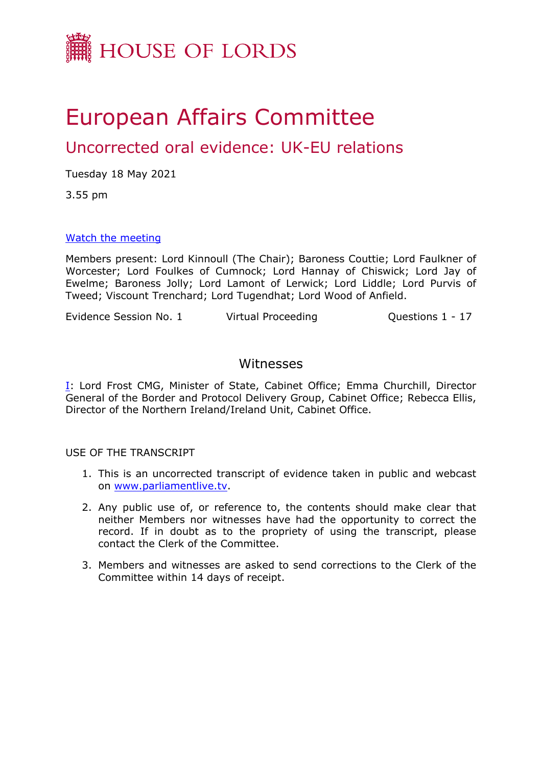

# European Affairs Committee

# Uncorrected oral evidence: UK-EU relations

Tuesday 18 May 2021

3.55 pm

# [Watch](https://parliamentlive.tv/Event/Index/d4cfcc26-8c12-4f88-9600-5cc315fdfc76) [the](https://parliamentlive.tv/Event/Index/d4cfcc26-8c12-4f88-9600-5cc315fdfc76) [meeting](https://parliamentlive.tv/Event/Index/d4cfcc26-8c12-4f88-9600-5cc315fdfc76)

Members present: Lord Kinnoull (The Chair); Baroness Couttie; Lord Faulkner of Worcester; Lord Foulkes of Cumnock; Lord Hannay of Chiswick; Lord Jay of Ewelme; Baroness Jolly; Lord Lamont of Lerwick; Lord Liddle; Lord Purvis of Tweed; Viscount Trenchard; Lord Tugendhat; Lord Wood of Anfield.

Evidence Session No. 1 Virtual Proceeding Cuestions 1 - 17

# Witnesses

[I:](#page-1-0) Lord Frost CMG, Minister of State, Cabinet Office; Emma Churchill, Director General of the Border and Protocol Delivery Group, Cabinet Office; Rebecca Ellis, Director of the Northern Ireland/Ireland Unit, Cabinet Office.

USE OF THE TRANSCRIPT

- 1. This is an uncorrected transcript of evidence taken in public and webcast on [www.parliamentlive.tv.](http://www.parliamentlive.tv/)
- 2. Any public use of, or reference to, the contents should make clear that neither Members nor witnesses have had the opportunity to correct the record. If in doubt as to the propriety of using the transcript, please contact the Clerk of the Committee.
- 3. Members and witnesses are asked to send corrections to the Clerk of the Committee within 14 days of receipt.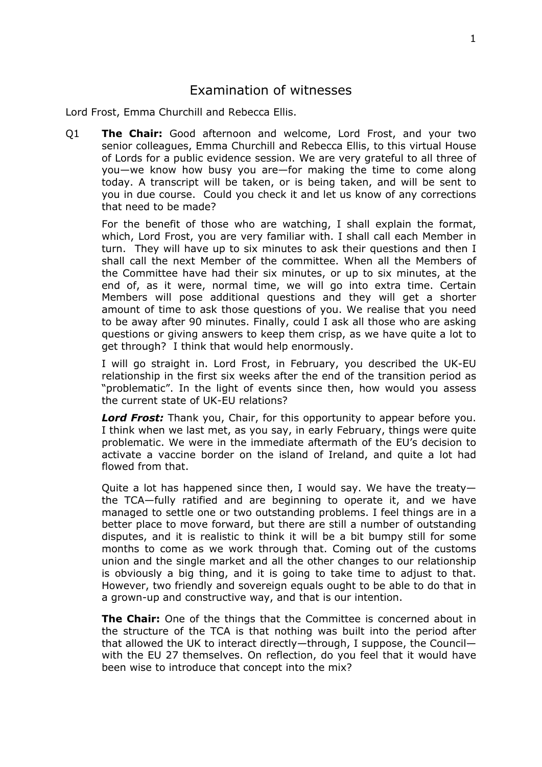# <span id="page-1-0"></span>Examination of witnesses

Lord Frost, Emma Churchill and Rebecca Ellis.

Q1 **The Chair:** Good afternoon and welcome, Lord Frost, and your two senior colleagues, Emma Churchill and Rebecca Ellis, to this virtual House of Lords for a public evidence session. We are very grateful to all three of you—we know how busy you are—for making the time to come along today. A transcript will be taken, or is being taken, and will be sent to you in due course. Could you check it and let us know of any corrections that need to be made?

For the benefit of those who are watching, I shall explain the format, which, Lord Frost, you are very familiar with. I shall call each Member in turn. They will have up to six minutes to ask their questions and then I shall call the next Member of the committee. When all the Members of the Committee have had their six minutes, or up to six minutes, at the end of, as it were, normal time, we will go into extra time. Certain Members will pose additional questions and they will get a shorter amount of time to ask those questions of you. We realise that you need to be away after 90 minutes. Finally, could I ask all those who are asking questions or giving answers to keep them crisp, as we have quite a lot to get through? I think that would help enormously.

I will go straight in. Lord Frost, in February, you described the UK-EU relationship in the first six weeks after the end of the transition period as "problematic". In the light of events since then, how would you assess the current state of UK-EU relations?

*Lord Frost:* Thank you, Chair, for this opportunity to appear before you. I think when we last met, as you say, in early February, things were quite problematic. We were in the immediate aftermath of the EU's decision to activate a vaccine border on the island of Ireland, and quite a lot had flowed from that.

Quite a lot has happened since then, I would say. We have the treaty the TCA—fully ratified and are beginning to operate it, and we have managed to settle one or two outstanding problems. I feel things are in a better place to move forward, but there are still a number of outstanding disputes, and it is realistic to think it will be a bit bumpy still for some months to come as we work through that. Coming out of the customs union and the single market and all the other changes to our relationship is obviously a big thing, and it is going to take time to adjust to that. However, two friendly and sovereign equals ought to be able to do that in a grown-up and constructive way, and that is our intention.

**The Chair:** One of the things that the Committee is concerned about in the structure of the TCA is that nothing was built into the period after that allowed the UK to interact directly—through, I suppose, the Council with the EU 27 themselves. On reflection, do you feel that it would have been wise to introduce that concept into the mix?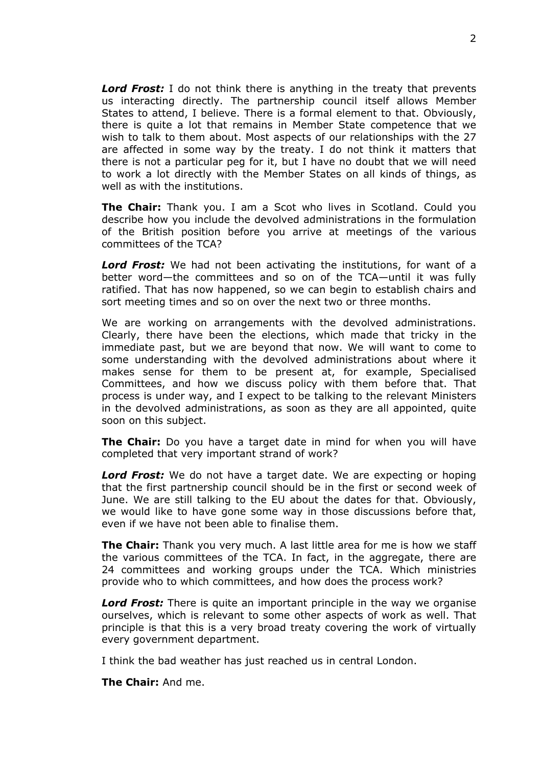*Lord Frost:* I do not think there is anything in the treaty that prevents us interacting directly. The partnership council itself allows Member States to attend, I believe. There is a formal element to that. Obviously, there is quite a lot that remains in Member State competence that we wish to talk to them about. Most aspects of our relationships with the 27 are affected in some way by the treaty. I do not think it matters that there is not a particular peg for it, but I have no doubt that we will need to work a lot directly with the Member States on all kinds of things, as well as with the institutions.

**The Chair:** Thank you. I am a Scot who lives in Scotland. Could you describe how you include the devolved administrations in the formulation of the British position before you arrive at meetings of the various committees of the TCA?

*Lord Frost:* We had not been activating the institutions, for want of a better word—the committees and so on of the TCA—until it was fully ratified. That has now happened, so we can begin to establish chairs and sort meeting times and so on over the next two or three months.

We are working on arrangements with the devolved administrations. Clearly, there have been the elections, which made that tricky in the immediate past, but we are beyond that now. We will want to come to some understanding with the devolved administrations about where it makes sense for them to be present at, for example, Specialised Committees, and how we discuss policy with them before that. That process is under way, and I expect to be talking to the relevant Ministers in the devolved administrations, as soon as they are all appointed, quite soon on this subject.

**The Chair:** Do you have a target date in mind for when you will have completed that very important strand of work?

*Lord Frost:* We do not have a target date. We are expecting or hoping that the first partnership council should be in the first or second week of June. We are still talking to the EU about the dates for that. Obviously, we would like to have gone some way in those discussions before that, even if we have not been able to finalise them.

**The Chair:** Thank you very much. A last little area for me is how we staff the various committees of the TCA. In fact, in the aggregate, there are 24 committees and working groups under the TCA. Which ministries provide who to which committees, and how does the process work?

*Lord Frost:* There is quite an important principle in the way we organise ourselves, which is relevant to some other aspects of work as well. That principle is that this is a very broad treaty covering the work of virtually every government department.

I think the bad weather has just reached us in central London.

**The Chair:** And me.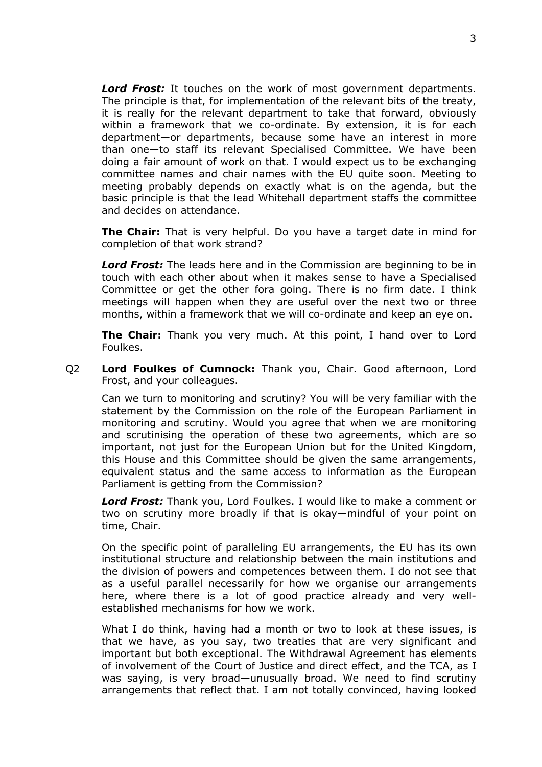*Lord Frost:* It touches on the work of most government departments. The principle is that, for implementation of the relevant bits of the treaty, it is really for the relevant department to take that forward, obviously within a framework that we co-ordinate. By extension, it is for each department—or departments, because some have an interest in more than one—to staff its relevant Specialised Committee. We have been doing a fair amount of work on that. I would expect us to be exchanging committee names and chair names with the EU quite soon. Meeting to meeting probably depends on exactly what is on the agenda, but the basic principle is that the lead Whitehall department staffs the committee and decides on attendance.

**The Chair:** That is very helpful. Do you have a target date in mind for completion of that work strand?

*Lord Frost:* The leads here and in the Commission are beginning to be in touch with each other about when it makes sense to have a Specialised Committee or get the other fora going. There is no firm date. I think meetings will happen when they are useful over the next two or three months, within a framework that we will co-ordinate and keep an eye on.

**The Chair:** Thank you very much. At this point, I hand over to Lord Foulkes.

Q2 **Lord Foulkes of Cumnock:** Thank you, Chair. Good afternoon, Lord Frost, and your colleagues.

Can we turn to monitoring and scrutiny? You will be very familiar with the statement by the Commission on the role of the European Parliament in monitoring and scrutiny. Would you agree that when we are monitoring and scrutinising the operation of these two agreements, which are so important, not just for the European Union but for the United Kingdom, this House and this Committee should be given the same arrangements, equivalent status and the same access to information as the European Parliament is getting from the Commission?

*Lord Frost:* Thank you, Lord Foulkes. I would like to make a comment or two on scrutiny more broadly if that is okay—mindful of your point on time, Chair.

On the specific point of paralleling EU arrangements, the EU has its own institutional structure and relationship between the main institutions and the division of powers and competences between them. I do not see that as a useful parallel necessarily for how we organise our arrangements here, where there is a lot of good practice already and very wellestablished mechanisms for how we work.

What I do think, having had a month or two to look at these issues, is that we have, as you say, two treaties that are very significant and important but both exceptional. The Withdrawal Agreement has elements of involvement of the Court of Justice and direct effect, and the TCA, as I was saying, is very broad—unusually broad. We need to find scrutiny arrangements that reflect that. I am not totally convinced, having looked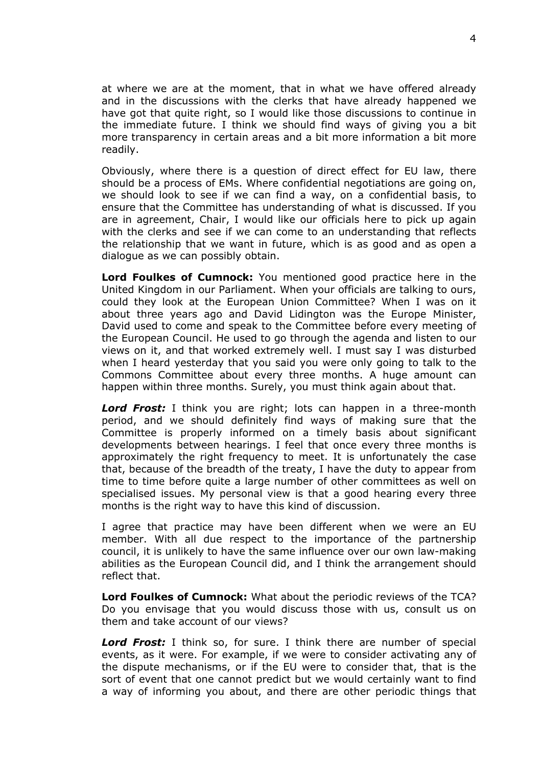at where we are at the moment, that in what we have offered already and in the discussions with the clerks that have already happened we have got that quite right, so I would like those discussions to continue in the immediate future. I think we should find ways of giving you a bit more transparency in certain areas and a bit more information a bit more readily.

Obviously, where there is a question of direct effect for EU law, there should be a process of EMs. Where confidential negotiations are going on, we should look to see if we can find a way, on a confidential basis, to ensure that the Committee has understanding of what is discussed. If you are in agreement, Chair, I would like our officials here to pick up again with the clerks and see if we can come to an understanding that reflects the relationship that we want in future, which is as good and as open a dialogue as we can possibly obtain.

**Lord Foulkes of Cumnock:** You mentioned good practice here in the United Kingdom in our Parliament. When your officials are talking to ours, could they look at the European Union Committee? When I was on it about three years ago and David Lidington was the Europe Minister, David used to come and speak to the Committee before every meeting of the European Council. He used to go through the agenda and listen to our views on it, and that worked extremely well. I must say I was disturbed when I heard yesterday that you said you were only going to talk to the Commons Committee about every three months. A huge amount can happen within three months. Surely, you must think again about that.

*Lord Frost:* I think you are right; lots can happen in a three-month period, and we should definitely find ways of making sure that the Committee is properly informed on a timely basis about significant developments between hearings. I feel that once every three months is approximately the right frequency to meet. It is unfortunately the case that, because of the breadth of the treaty, I have the duty to appear from time to time before quite a large number of other committees as well on specialised issues. My personal view is that a good hearing every three months is the right way to have this kind of discussion.

I agree that practice may have been different when we were an EU member. With all due respect to the importance of the partnership council, it is unlikely to have the same influence over our own law-making abilities as the European Council did, and I think the arrangement should reflect that.

**Lord Foulkes of Cumnock:** What about the periodic reviews of the TCA? Do you envisage that you would discuss those with us, consult us on them and take account of our views?

*Lord Frost:* I think so, for sure. I think there are number of special events, as it were. For example, if we were to consider activating any of the dispute mechanisms, or if the EU were to consider that, that is the sort of event that one cannot predict but we would certainly want to find a way of informing you about, and there are other periodic things that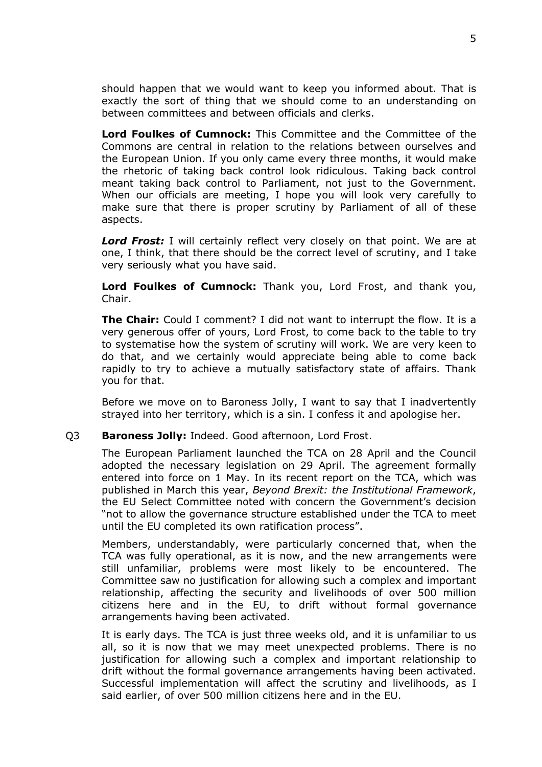should happen that we would want to keep you informed about. That is exactly the sort of thing that we should come to an understanding on between committees and between officials and clerks.

**Lord Foulkes of Cumnock:** This Committee and the Committee of the Commons are central in relation to the relations between ourselves and the European Union. If you only came every three months, it would make the rhetoric of taking back control look ridiculous. Taking back control meant taking back control to Parliament, not just to the Government. When our officials are meeting, I hope you will look very carefully to make sure that there is proper scrutiny by Parliament of all of these aspects.

**Lord Frost:** I will certainly reflect very closely on that point. We are at one, I think, that there should be the correct level of scrutiny, and I take very seriously what you have said.

**Lord Foulkes of Cumnock:** Thank you, Lord Frost, and thank you, Chair.

**The Chair:** Could I comment? I did not want to interrupt the flow. It is a very generous offer of yours, Lord Frost, to come back to the table to try to systematise how the system of scrutiny will work. We are very keen to do that, and we certainly would appreciate being able to come back rapidly to try to achieve a mutually satisfactory state of affairs. Thank you for that.

Before we move on to Baroness Jolly, I want to say that I inadvertently strayed into her territory, which is a sin. I confess it and apologise her.

#### Q3 **Baroness Jolly:** Indeed. Good afternoon, Lord Frost.

The European Parliament launched the TCA on 28 April and the Council adopted the necessary legislation on 29 April. The agreement formally entered into force on 1 May. In its recent report on the TCA, which was published in March this year, *Beyond Brexit: the Institutional Framework*, the EU Select Committee noted with concern the Government's decision "not to allow the governance structure established under the TCA to meet until the EU completed its own ratification process".

Members, understandably, were particularly concerned that, when the TCA was fully operational, as it is now, and the new arrangements were still unfamiliar, problems were most likely to be encountered. The Committee saw no justification for allowing such a complex and important relationship, affecting the security and livelihoods of over 500 million citizens here and in the EU, to drift without formal governance arrangements having been activated.

It is early days. The TCA is just three weeks old, and it is unfamiliar to us all, so it is now that we may meet unexpected problems. There is no justification for allowing such a complex and important relationship to drift without the formal governance arrangements having been activated. Successful implementation will affect the scrutiny and livelihoods, as I said earlier, of over 500 million citizens here and in the EU.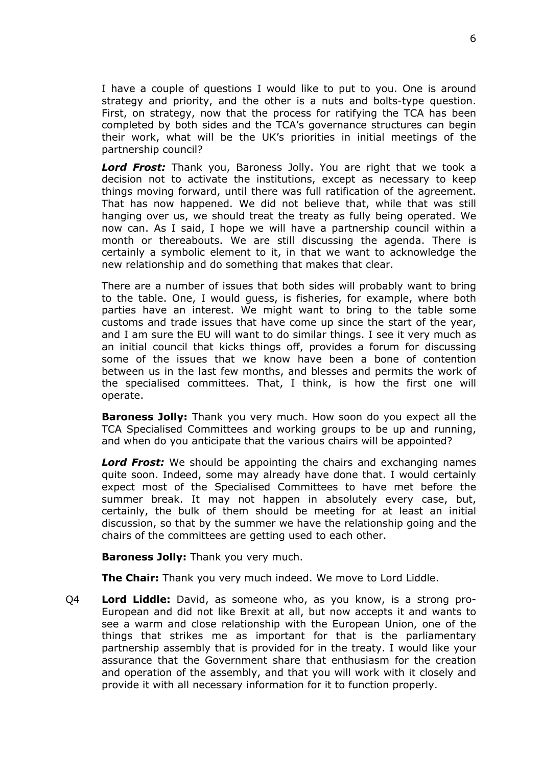I have a couple of questions I would like to put to you. One is around strategy and priority, and the other is a nuts and bolts-type question. First, on strategy, now that the process for ratifying the TCA has been completed by both sides and the TCA's governance structures can begin their work, what will be the UK's priorities in initial meetings of the partnership council?

*Lord Frost:* Thank you, Baroness Jolly. You are right that we took a decision not to activate the institutions, except as necessary to keep things moving forward, until there was full ratification of the agreement. That has now happened. We did not believe that, while that was still hanging over us, we should treat the treaty as fully being operated. We now can. As I said, I hope we will have a partnership council within a month or thereabouts. We are still discussing the agenda. There is certainly a symbolic element to it, in that we want to acknowledge the new relationship and do something that makes that clear.

There are a number of issues that both sides will probably want to bring to the table. One, I would guess, is fisheries, for example, where both parties have an interest. We might want to bring to the table some customs and trade issues that have come up since the start of the year, and I am sure the EU will want to do similar things. I see it very much as an initial council that kicks things off, provides a forum for discussing some of the issues that we know have been a bone of contention between us in the last few months, and blesses and permits the work of the specialised committees. That, I think, is how the first one will operate.

**Baroness Jolly:** Thank you very much. How soon do you expect all the TCA Specialised Committees and working groups to be up and running, and when do you anticipate that the various chairs will be appointed?

*Lord Frost:* We should be appointing the chairs and exchanging names quite soon. Indeed, some may already have done that. I would certainly expect most of the Specialised Committees to have met before the summer break. It may not happen in absolutely every case, but, certainly, the bulk of them should be meeting for at least an initial discussion, so that by the summer we have the relationship going and the chairs of the committees are getting used to each other.

**Baroness Jolly:** Thank you very much.

**The Chair:** Thank you very much indeed. We move to Lord Liddle.

Q4 **Lord Liddle:** David, as someone who, as you know, is a strong pro-European and did not like Brexit at all, but now accepts it and wants to see a warm and close relationship with the European Union, one of the things that strikes me as important for that is the parliamentary partnership assembly that is provided for in the treaty. I would like your assurance that the Government share that enthusiasm for the creation and operation of the assembly, and that you will work with it closely and provide it with all necessary information for it to function properly.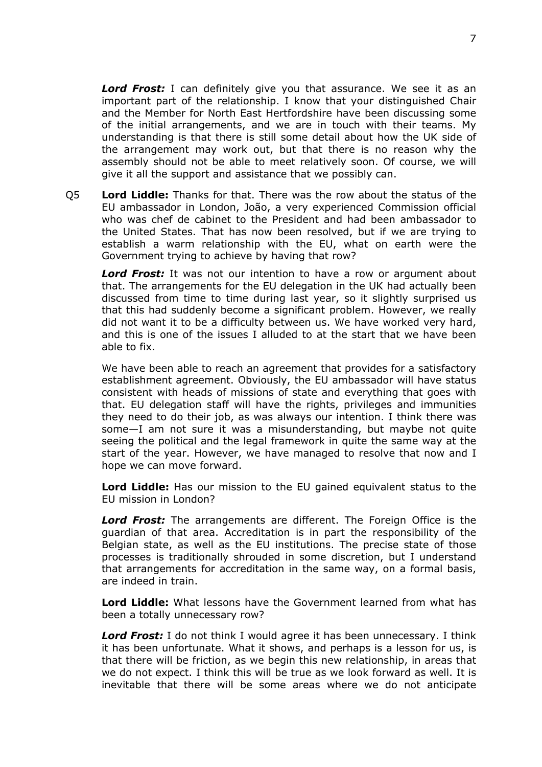*Lord Frost:* I can definitely give you that assurance. We see it as an important part of the relationship. I know that your distinguished Chair and the Member for North East Hertfordshire have been discussing some of the initial arrangements, and we are in touch with their teams. My understanding is that there is still some detail about how the UK side of the arrangement may work out, but that there is no reason why the assembly should not be able to meet relatively soon. Of course, we will give it all the support and assistance that we possibly can.

Q5 **Lord Liddle:** Thanks for that. There was the row about the status of the EU ambassador in London, João, a very experienced Commission official who was chef de cabinet to the President and had been ambassador to the United States. That has now been resolved, but if we are trying to establish a warm relationship with the EU, what on earth were the Government trying to achieve by having that row?

*Lord Frost:* It was not our intention to have a row or argument about that. The arrangements for the EU delegation in the UK had actually been discussed from time to time during last year, so it slightly surprised us that this had suddenly become a significant problem. However, we really did not want it to be a difficulty between us. We have worked very hard, and this is one of the issues I alluded to at the start that we have been able to fix.

We have been able to reach an agreement that provides for a satisfactory establishment agreement. Obviously, the EU ambassador will have status consistent with heads of missions of state and everything that goes with that. EU delegation staff will have the rights, privileges and immunities they need to do their job, as was always our intention. I think there was some—I am not sure it was a misunderstanding, but maybe not quite seeing the political and the legal framework in quite the same way at the start of the year. However, we have managed to resolve that now and I hope we can move forward.

**Lord Liddle:** Has our mission to the EU gained equivalent status to the EU mission in London?

*Lord Frost:* The arrangements are different. The Foreign Office is the guardian of that area. Accreditation is in part the responsibility of the Belgian state, as well as the EU institutions. The precise state of those processes is traditionally shrouded in some discretion, but I understand that arrangements for accreditation in the same way, on a formal basis, are indeed in train.

**Lord Liddle:** What lessons have the Government learned from what has been a totally unnecessary row?

*Lord Frost:* I do not think I would agree it has been unnecessary. I think it has been unfortunate. What it shows, and perhaps is a lesson for us, is that there will be friction, as we begin this new relationship, in areas that we do not expect. I think this will be true as we look forward as well. It is inevitable that there will be some areas where we do not anticipate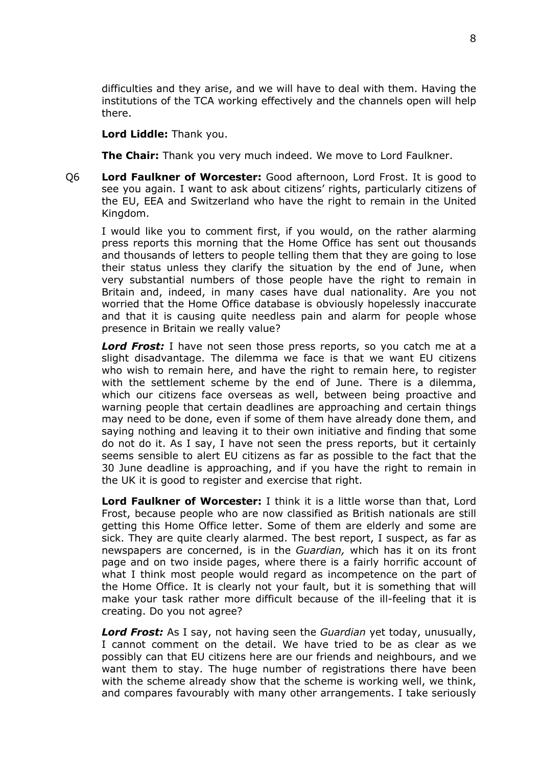difficulties and they arise, and we will have to deal with them. Having the institutions of the TCA working effectively and the channels open will help there.

### **Lord Liddle:** Thank you.

**The Chair:** Thank you very much indeed. We move to Lord Faulkner.

Q6 **Lord Faulkner of Worcester:** Good afternoon, Lord Frost. It is good to see you again. I want to ask about citizens' rights, particularly citizens of the EU, EEA and Switzerland who have the right to remain in the United Kingdom.

I would like you to comment first, if you would, on the rather alarming press reports this morning that the Home Office has sent out thousands and thousands of letters to people telling them that they are going to lose their status unless they clarify the situation by the end of June, when very substantial numbers of those people have the right to remain in Britain and, indeed, in many cases have dual nationality. Are you not worried that the Home Office database is obviously hopelessly inaccurate and that it is causing quite needless pain and alarm for people whose presence in Britain we really value?

*Lord Frost:* I have not seen those press reports, so you catch me at a slight disadvantage. The dilemma we face is that we want EU citizens who wish to remain here, and have the right to remain here, to register with the settlement scheme by the end of June. There is a dilemma, which our citizens face overseas as well, between being proactive and warning people that certain deadlines are approaching and certain things may need to be done, even if some of them have already done them, and saying nothing and leaving it to their own initiative and finding that some do not do it. As I say, I have not seen the press reports, but it certainly seems sensible to alert EU citizens as far as possible to the fact that the 30 June deadline is approaching, and if you have the right to remain in the UK it is good to register and exercise that right.

**Lord Faulkner of Worcester:** I think it is a little worse than that, Lord Frost, because people who are now classified as British nationals are still getting this Home Office letter. Some of them are elderly and some are sick. They are quite clearly alarmed. The best report, I suspect, as far as newspapers are concerned, is in the *Guardian,* which has it on its front page and on two inside pages, where there is a fairly horrific account of what I think most people would regard as incompetence on the part of the Home Office. It is clearly not your fault, but it is something that will make your task rather more difficult because of the ill-feeling that it is creating. Do you not agree?

*Lord Frost:* As I say, not having seen the *Guardian* yet today, unusually, I cannot comment on the detail. We have tried to be as clear as we possibly can that EU citizens here are our friends and neighbours, and we want them to stay. The huge number of registrations there have been with the scheme already show that the scheme is working well, we think, and compares favourably with many other arrangements. I take seriously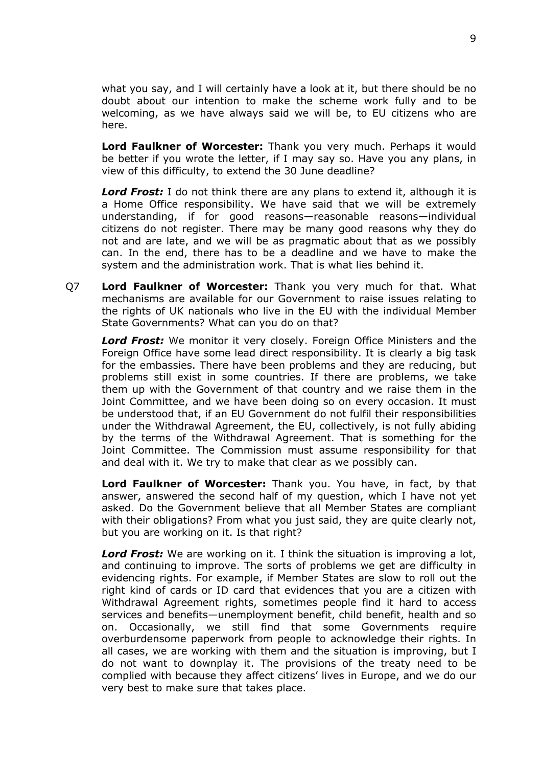what you say, and I will certainly have a look at it, but there should be no doubt about our intention to make the scheme work fully and to be welcoming, as we have always said we will be, to EU citizens who are here.

**Lord Faulkner of Worcester:** Thank you very much. Perhaps it would be better if you wrote the letter, if I may say so. Have you any plans, in view of this difficulty, to extend the 30 June deadline?

**Lord Frost:** I do not think there are any plans to extend it, although it is a Home Office responsibility. We have said that we will be extremely understanding, if for good reasons—reasonable reasons—individual citizens do not register. There may be many good reasons why they do not and are late, and we will be as pragmatic about that as we possibly can. In the end, there has to be a deadline and we have to make the system and the administration work. That is what lies behind it.

Q7 **Lord Faulkner of Worcester:** Thank you very much for that. What mechanisms are available for our Government to raise issues relating to the rights of UK nationals who live in the EU with the individual Member State Governments? What can you do on that?

*Lord Frost:* We monitor it very closely. Foreign Office Ministers and the Foreign Office have some lead direct responsibility. It is clearly a big task for the embassies. There have been problems and they are reducing, but problems still exist in some countries. If there are problems, we take them up with the Government of that country and we raise them in the Joint Committee, and we have been doing so on every occasion. It must be understood that, if an EU Government do not fulfil their responsibilities under the Withdrawal Agreement, the EU, collectively, is not fully abiding by the terms of the Withdrawal Agreement. That is something for the Joint Committee. The Commission must assume responsibility for that and deal with it. We try to make that clear as we possibly can.

**Lord Faulkner of Worcester:** Thank you. You have, in fact, by that answer, answered the second half of my question, which I have not yet asked. Do the Government believe that all Member States are compliant with their obligations? From what you just said, they are quite clearly not, but you are working on it. Is that right?

*Lord Frost:* We are working on it. I think the situation is improving a lot, and continuing to improve. The sorts of problems we get are difficulty in evidencing rights. For example, if Member States are slow to roll out the right kind of cards or ID card that evidences that you are a citizen with Withdrawal Agreement rights, sometimes people find it hard to access services and benefits—unemployment benefit, child benefit, health and so on. Occasionally, we still find that some Governments require overburdensome paperwork from people to acknowledge their rights. In all cases, we are working with them and the situation is improving, but I do not want to downplay it. The provisions of the treaty need to be complied with because they affect citizens' lives in Europe, and we do our very best to make sure that takes place.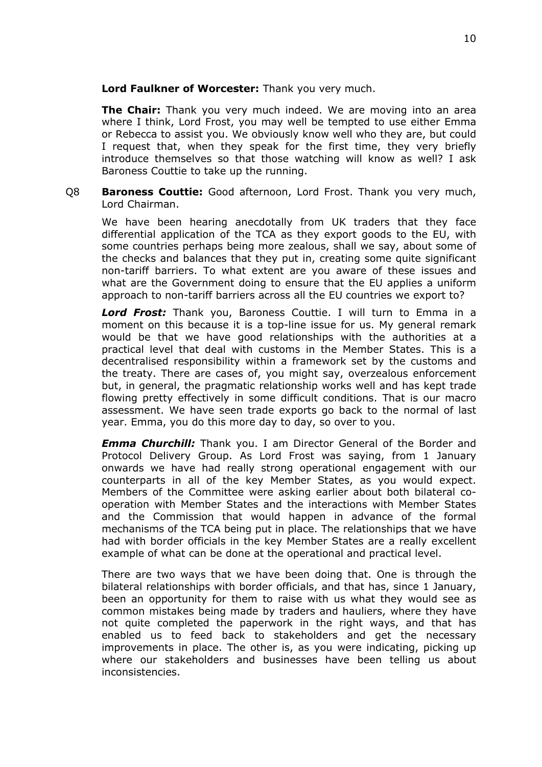## **Lord Faulkner of Worcester:** Thank you very much.

**The Chair:** Thank you very much indeed. We are moving into an area where I think, Lord Frost, you may well be tempted to use either Emma or Rebecca to assist you. We obviously know well who they are, but could I request that, when they speak for the first time, they very briefly introduce themselves so that those watching will know as well? I ask Baroness Couttie to take up the running.

Q8 **Baroness Couttie:** Good afternoon, Lord Frost. Thank you very much, Lord Chairman.

We have been hearing anecdotally from UK traders that they face differential application of the TCA as they export goods to the EU, with some countries perhaps being more zealous, shall we say, about some of the checks and balances that they put in, creating some quite significant non-tariff barriers. To what extent are you aware of these issues and what are the Government doing to ensure that the EU applies a uniform approach to non-tariff barriers across all the EU countries we export to?

*Lord Frost:* Thank you, Baroness Couttie. I will turn to Emma in a moment on this because it is a top-line issue for us. My general remark would be that we have good relationships with the authorities at a practical level that deal with customs in the Member States. This is a decentralised responsibility within a framework set by the customs and the treaty. There are cases of, you might say, overzealous enforcement but, in general, the pragmatic relationship works well and has kept trade flowing pretty effectively in some difficult conditions. That is our macro assessment. We have seen trade exports go back to the normal of last year. Emma, you do this more day to day, so over to you.

*Emma Churchill:* Thank you. I am Director General of the Border and Protocol Delivery Group. As Lord Frost was saying, from 1 January onwards we have had really strong operational engagement with our counterparts in all of the key Member States, as you would expect. Members of the Committee were asking earlier about both bilateral cooperation with Member States and the interactions with Member States and the Commission that would happen in advance of the formal mechanisms of the TCA being put in place. The relationships that we have had with border officials in the key Member States are a really excellent example of what can be done at the operational and practical level.

There are two ways that we have been doing that. One is through the bilateral relationships with border officials, and that has, since 1 January, been an opportunity for them to raise with us what they would see as common mistakes being made by traders and hauliers, where they have not quite completed the paperwork in the right ways, and that has enabled us to feed back to stakeholders and get the necessary improvements in place. The other is, as you were indicating, picking up where our stakeholders and businesses have been telling us about inconsistencies.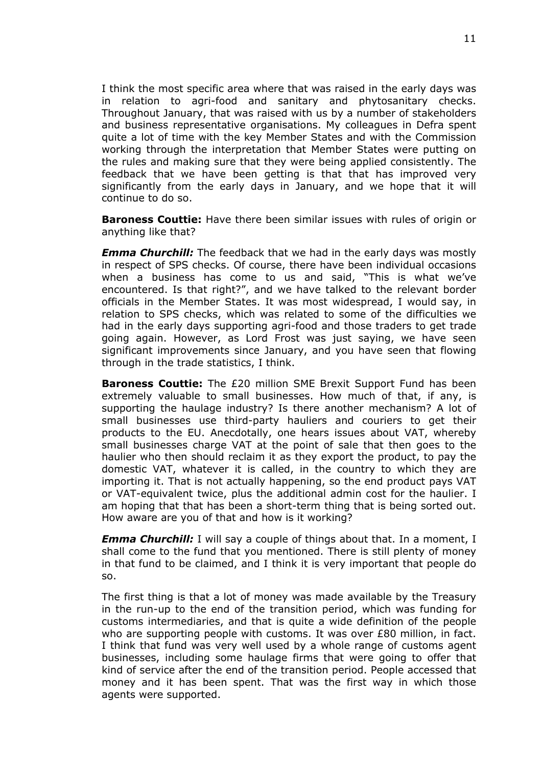I think the most specific area where that was raised in the early days was in relation to agri-food and sanitary and phytosanitary checks. Throughout January, that was raised with us by a number of stakeholders and business representative organisations. My colleagues in Defra spent quite a lot of time with the key Member States and with the Commission working through the interpretation that Member States were putting on the rules and making sure that they were being applied consistently. The feedback that we have been getting is that that has improved very significantly from the early days in January, and we hope that it will continue to do so.

**Baroness Couttie:** Have there been similar issues with rules of origin or anything like that?

*Emma Churchill:* The feedback that we had in the early days was mostly in respect of SPS checks. Of course, there have been individual occasions when a business has come to us and said, "This is what we've encountered. Is that right?", and we have talked to the relevant border officials in the Member States. It was most widespread, I would say, in relation to SPS checks, which was related to some of the difficulties we had in the early days supporting agri-food and those traders to get trade going again. However, as Lord Frost was just saying, we have seen significant improvements since January, and you have seen that flowing through in the trade statistics, I think.

**Baroness Couttie:** The £20 million SME Brexit Support Fund has been extremely valuable to small businesses. How much of that, if any, is supporting the haulage industry? Is there another mechanism? A lot of small businesses use third-party hauliers and couriers to get their products to the EU. Anecdotally, one hears issues about VAT, whereby small businesses charge VAT at the point of sale that then goes to the haulier who then should reclaim it as they export the product, to pay the domestic VAT, whatever it is called, in the country to which they are importing it. That is not actually happening, so the end product pays VAT or VAT-equivalent twice, plus the additional admin cost for the haulier. I am hoping that that has been a short-term thing that is being sorted out. How aware are you of that and how is it working?

*Emma Churchill:* I will say a couple of things about that. In a moment, I shall come to the fund that you mentioned. There is still plenty of money in that fund to be claimed, and I think it is very important that people do so.

The first thing is that a lot of money was made available by the Treasury in the run-up to the end of the transition period, which was funding for customs intermediaries, and that is quite a wide definition of the people who are supporting people with customs. It was over £80 million, in fact. I think that fund was very well used by a whole range of customs agent businesses, including some haulage firms that were going to offer that kind of service after the end of the transition period. People accessed that money and it has been spent. That was the first way in which those agents were supported.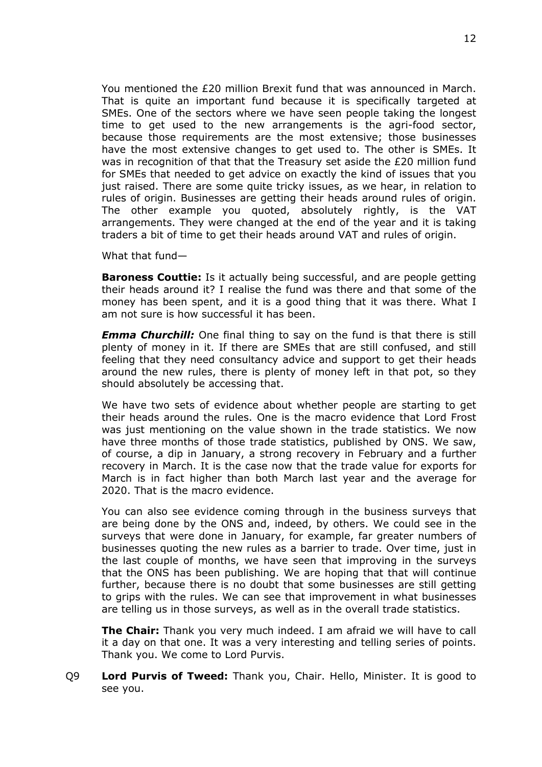You mentioned the £20 million Brexit fund that was announced in March. That is quite an important fund because it is specifically targeted at SMEs. One of the sectors where we have seen people taking the longest time to get used to the new arrangements is the agri-food sector, because those requirements are the most extensive; those businesses have the most extensive changes to get used to. The other is SMEs. It was in recognition of that that the Treasury set aside the £20 million fund for SMEs that needed to get advice on exactly the kind of issues that you just raised. There are some quite tricky issues, as we hear, in relation to rules of origin. Businesses are getting their heads around rules of origin. The other example you quoted, absolutely rightly, is the VAT arrangements. They were changed at the end of the year and it is taking traders a bit of time to get their heads around VAT and rules of origin.

What that fund—

**Baroness Couttie:** Is it actually being successful, and are people getting their heads around it? I realise the fund was there and that some of the money has been spent, and it is a good thing that it was there. What I am not sure is how successful it has been.

*Emma Churchill:* One final thing to say on the fund is that there is still plenty of money in it. If there are SMEs that are still confused, and still feeling that they need consultancy advice and support to get their heads around the new rules, there is plenty of money left in that pot, so they should absolutely be accessing that.

We have two sets of evidence about whether people are starting to get their heads around the rules. One is the macro evidence that Lord Frost was just mentioning on the value shown in the trade statistics. We now have three months of those trade statistics, published by ONS. We saw, of course, a dip in January, a strong recovery in February and a further recovery in March. It is the case now that the trade value for exports for March is in fact higher than both March last year and the average for 2020. That is the macro evidence.

You can also see evidence coming through in the business surveys that are being done by the ONS and, indeed, by others. We could see in the surveys that were done in January, for example, far greater numbers of businesses quoting the new rules as a barrier to trade. Over time, just in the last couple of months, we have seen that improving in the surveys that the ONS has been publishing. We are hoping that that will continue further, because there is no doubt that some businesses are still getting to grips with the rules. We can see that improvement in what businesses are telling us in those surveys, as well as in the overall trade statistics.

**The Chair:** Thank you very much indeed. I am afraid we will have to call it a day on that one. It was a very interesting and telling series of points. Thank you. We come to Lord Purvis.

Q9 **Lord Purvis of Tweed:** Thank you, Chair. Hello, Minister. It is good to see you.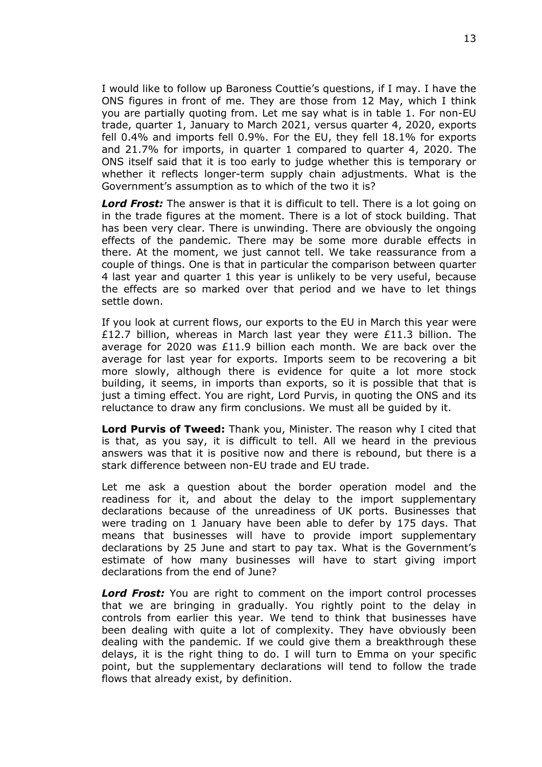I would like to follow up Baroness Couttie's questions, if I may. I have the ONS figures in front of me. They are those from 12 May, which I think you are partially quoting from. Let me say what is in table 1. For non-EU trade, quarter 1, January to March 2021, versus quarter 4, 2020, exports fell 0.4% and imports fell 0.9%. For the EU, they fell 18.1% for exports and 21.7% for imports, in quarter 1 compared to quarter 4, 2020. The ONS itself said that it is too early to judge whether this is temporary or whether it reflects longer-term supply chain adjustments. What is the Government's assumption as to which of the two it is?

*Lord Frost:* The answer is that it is difficult to tell. There is a lot going on in the trade figures at the moment. There is a lot of stock building. That has been very clear. There is unwinding. There are obviously the ongoing effects of the pandemic. There may be some more durable effects in there. At the moment, we just cannot tell. We take reassurance from a couple of things. One is that in particular the comparison between quarter 4 last year and quarter 1 this year is unlikely to be very useful, because the effects are so marked over that period and we have to let things settle down.

If you look at current flows, our exports to the EU in March this year were £12.7 billion, whereas in March last year they were £11.3 billion. The average for 2020 was £11.9 billion each month. We are back over the average for last year for exports. Imports seem to be recovering a bit more slowly, although there is evidence for quite a lot more stock building, it seems, in imports than exports, so it is possible that that is just a timing effect. You are right, Lord Purvis, in quoting the ONS and its reluctance to draw any firm conclusions. We must all be guided by it.

**Lord Purvis of Tweed:** Thank you, Minister. The reason why I cited that is that, as you say, it is difficult to tell. All we heard in the previous answers was that it is positive now and there is rebound, but there is a stark difference between non-EU trade and EU trade.

Let me ask a question about the border operation model and the readiness for it, and about the delay to the import supplementary declarations because of the unreadiness of UK ports. Businesses that were trading on 1 January have been able to defer by 175 days. That means that businesses will have to provide import supplementary declarations by 25 June and start to pay tax. What is the Government's estimate of how many businesses will have to start giving import declarations from the end of June?

*Lord Frost:* You are right to comment on the import control processes that we are bringing in gradually. You rightly point to the delay in controls from earlier this year. We tend to think that businesses have been dealing with quite a lot of complexity. They have obviously been dealing with the pandemic. If we could give them a breakthrough these delays, it is the right thing to do. I will turn to Emma on your specific point, but the supplementary declarations will tend to follow the trade flows that already exist, by definition.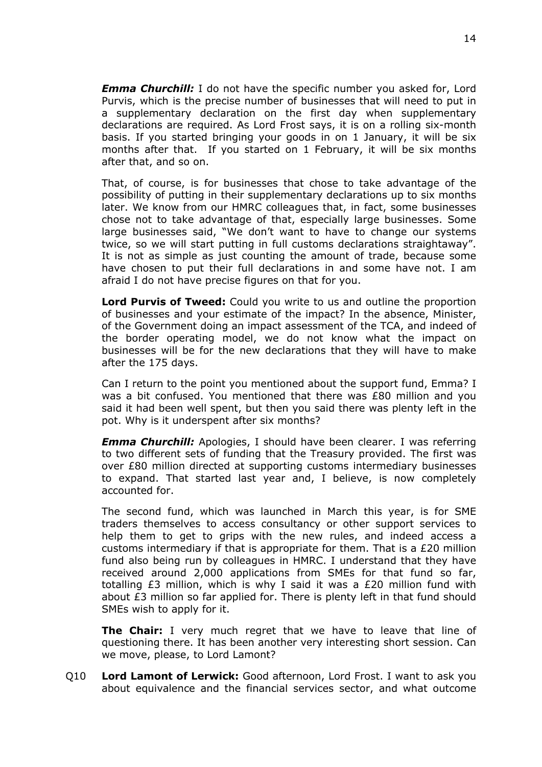*Emma Churchill:* I do not have the specific number you asked for, Lord Purvis, which is the precise number of businesses that will need to put in a supplementary declaration on the first day when supplementary declarations are required. As Lord Frost says, it is on a rolling six-month basis. If you started bringing your goods in on 1 January, it will be six months after that. If you started on 1 February, it will be six months after that, and so on.

That, of course, is for businesses that chose to take advantage of the possibility of putting in their supplementary declarations up to six months later. We know from our HMRC colleagues that, in fact, some businesses chose not to take advantage of that, especially large businesses. Some large businesses said, "We don't want to have to change our systems twice, so we will start putting in full customs declarations straightaway". It is not as simple as just counting the amount of trade, because some have chosen to put their full declarations in and some have not. I am afraid I do not have precise figures on that for you.

**Lord Purvis of Tweed:** Could you write to us and outline the proportion of businesses and your estimate of the impact? In the absence, Minister, of the Government doing an impact assessment of the TCA, and indeed of the border operating model, we do not know what the impact on businesses will be for the new declarations that they will have to make after the 175 days.

Can I return to the point you mentioned about the support fund, Emma? I was a bit confused. You mentioned that there was £80 million and you said it had been well spent, but then you said there was plenty left in the pot. Why is it underspent after six months?

*Emma Churchill:* Apologies, I should have been clearer. I was referring to two different sets of funding that the Treasury provided. The first was over £80 million directed at supporting customs intermediary businesses to expand. That started last year and, I believe, is now completely accounted for.

The second fund, which was launched in March this year, is for SME traders themselves to access consultancy or other support services to help them to get to grips with the new rules, and indeed access a customs intermediary if that is appropriate for them. That is a £20 million fund also being run by colleagues in HMRC. I understand that they have received around 2,000 applications from SMEs for that fund so far, totalling £3 million, which is why I said it was a £20 million fund with about £3 million so far applied for. There is plenty left in that fund should SMEs wish to apply for it.

**The Chair:** I very much regret that we have to leave that line of questioning there. It has been another very interesting short session. Can we move, please, to Lord Lamont?

Q10 **Lord Lamont of Lerwick:** Good afternoon, Lord Frost. I want to ask you about equivalence and the financial services sector, and what outcome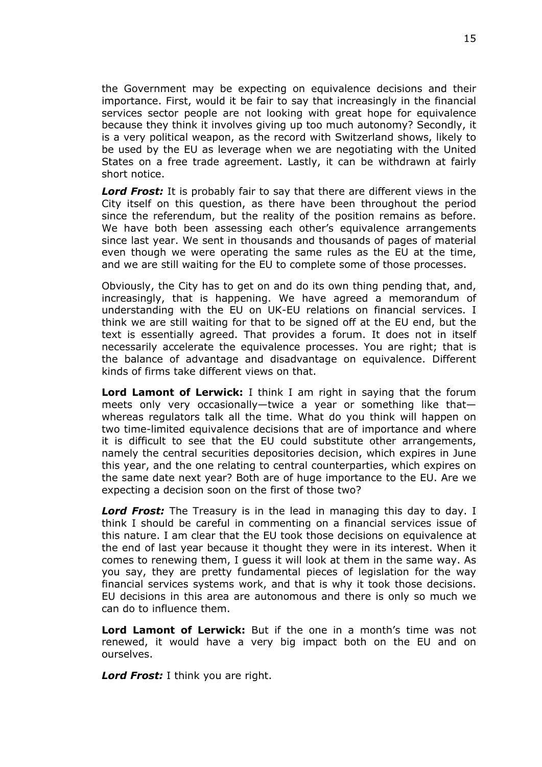the Government may be expecting on equivalence decisions and their importance. First, would it be fair to say that increasingly in the financial services sector people are not looking with great hope for equivalence because they think it involves giving up too much autonomy? Secondly, it is a very political weapon, as the record with Switzerland shows, likely to be used by the EU as leverage when we are negotiating with the United States on a free trade agreement. Lastly, it can be withdrawn at fairly short notice.

*Lord Frost:* It is probably fair to say that there are different views in the City itself on this question, as there have been throughout the period since the referendum, but the reality of the position remains as before. We have both been assessing each other's equivalence arrangements since last year. We sent in thousands and thousands of pages of material even though we were operating the same rules as the EU at the time, and we are still waiting for the EU to complete some of those processes.

Obviously, the City has to get on and do its own thing pending that, and, increasingly, that is happening. We have agreed a memorandum of understanding with the EU on UK-EU relations on financial services. I think we are still waiting for that to be signed off at the EU end, but the text is essentially agreed. That provides a forum. It does not in itself necessarily accelerate the equivalence processes. You are right; that is the balance of advantage and disadvantage on equivalence. Different kinds of firms take different views on that.

**Lord Lamont of Lerwick:** I think I am right in saying that the forum meets only very occasionally—twice a year or something like that whereas regulators talk all the time. What do you think will happen on two time-limited equivalence decisions that are of importance and where it is difficult to see that the EU could substitute other arrangements, namely the central securities depositories decision, which expires in June this year, and the one relating to central counterparties, which expires on the same date next year? Both are of huge importance to the EU. Are we expecting a decision soon on the first of those two?

*Lord Frost:* The Treasury is in the lead in managing this day to day. I think I should be careful in commenting on a financial services issue of this nature. I am clear that the EU took those decisions on equivalence at the end of last year because it thought they were in its interest. When it comes to renewing them, I guess it will look at them in the same way. As you say, they are pretty fundamental pieces of legislation for the way financial services systems work, and that is why it took those decisions. EU decisions in this area are autonomous and there is only so much we can do to influence them.

**Lord Lamont of Lerwick:** But if the one in a month's time was not renewed, it would have a very big impact both on the EU and on ourselves.

*Lord Frost:* I think you are right.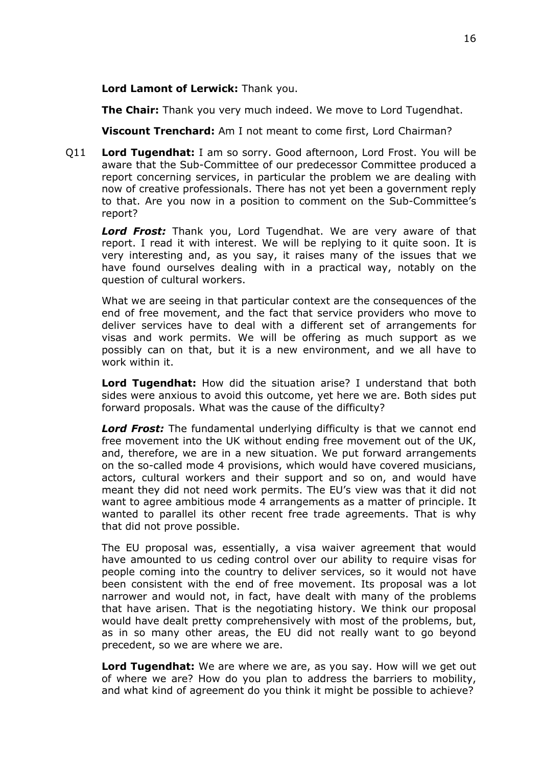**Lord Lamont of Lerwick:** Thank you.

**The Chair:** Thank you very much indeed. We move to Lord Tugendhat.

**Viscount Trenchard:** Am I not meant to come first, Lord Chairman?

Q11 **Lord Tugendhat:** I am so sorry. Good afternoon, Lord Frost. You will be aware that the Sub-Committee of our predecessor Committee produced a report concerning services, in particular the problem we are dealing with now of creative professionals. There has not yet been a government reply to that. Are you now in a position to comment on the Sub-Committee's report?

*Lord Frost:* Thank you, Lord Tugendhat. We are very aware of that report. I read it with interest. We will be replying to it quite soon. It is very interesting and, as you say, it raises many of the issues that we have found ourselves dealing with in a practical way, notably on the question of cultural workers.

What we are seeing in that particular context are the consequences of the end of free movement, and the fact that service providers who move to deliver services have to deal with a different set of arrangements for visas and work permits. We will be offering as much support as we possibly can on that, but it is a new environment, and we all have to work within it.

**Lord Tugendhat:** How did the situation arise? I understand that both sides were anxious to avoid this outcome, yet here we are. Both sides put forward proposals. What was the cause of the difficulty?

*Lord Frost:* The fundamental underlying difficulty is that we cannot end free movement into the UK without ending free movement out of the UK, and, therefore, we are in a new situation. We put forward arrangements on the so-called mode 4 provisions, which would have covered musicians, actors, cultural workers and their support and so on, and would have meant they did not need work permits. The EU's view was that it did not want to agree ambitious mode 4 arrangements as a matter of principle. It wanted to parallel its other recent free trade agreements. That is why that did not prove possible.

The EU proposal was, essentially, a visa waiver agreement that would have amounted to us ceding control over our ability to require visas for people coming into the country to deliver services, so it would not have been consistent with the end of free movement. Its proposal was a lot narrower and would not, in fact, have dealt with many of the problems that have arisen. That is the negotiating history. We think our proposal would have dealt pretty comprehensively with most of the problems, but, as in so many other areas, the EU did not really want to go beyond precedent, so we are where we are.

**Lord Tugendhat:** We are where we are, as you say. How will we get out of where we are? How do you plan to address the barriers to mobility, and what kind of agreement do you think it might be possible to achieve?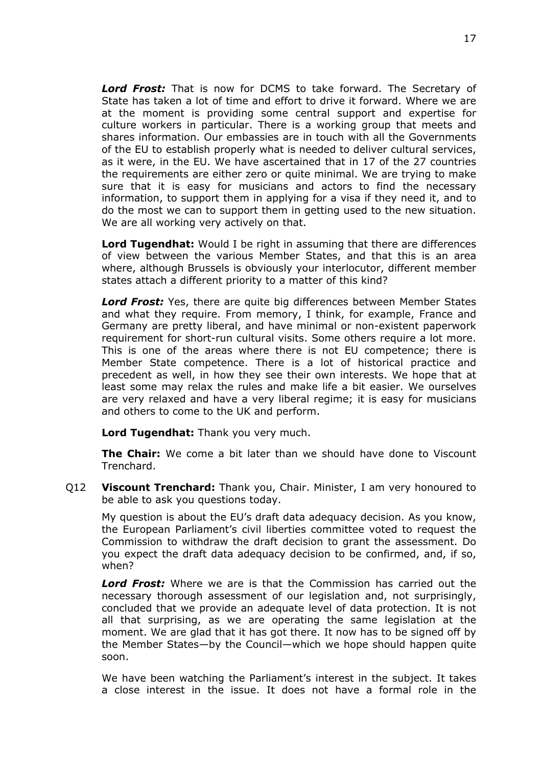*Lord Frost:* That is now for DCMS to take forward. The Secretary of State has taken a lot of time and effort to drive it forward. Where we are at the moment is providing some central support and expertise for culture workers in particular. There is a working group that meets and shares information. Our embassies are in touch with all the Governments of the EU to establish properly what is needed to deliver cultural services, as it were, in the EU. We have ascertained that in 17 of the 27 countries the requirements are either zero or quite minimal. We are trying to make sure that it is easy for musicians and actors to find the necessary information, to support them in applying for a visa if they need it, and to do the most we can to support them in getting used to the new situation. We are all working very actively on that.

**Lord Tugendhat:** Would I be right in assuming that there are differences of view between the various Member States, and that this is an area where, although Brussels is obviously your interlocutor, different member states attach a different priority to a matter of this kind?

*Lord Frost:* Yes, there are quite big differences between Member States and what they require. From memory, I think, for example, France and Germany are pretty liberal, and have minimal or non-existent paperwork requirement for short-run cultural visits. Some others require a lot more. This is one of the areas where there is not EU competence; there is Member State competence. There is a lot of historical practice and precedent as well, in how they see their own interests. We hope that at least some may relax the rules and make life a bit easier. We ourselves are very relaxed and have a very liberal regime; it is easy for musicians and others to come to the UK and perform.

**Lord Tugendhat:** Thank you very much.

**The Chair:** We come a bit later than we should have done to Viscount Trenchard.

Q12 **Viscount Trenchard:** Thank you, Chair. Minister, I am very honoured to be able to ask you questions today.

My question is about the EU's draft data adequacy decision. As you know, the European Parliament's civil liberties committee voted to request the Commission to withdraw the draft decision to grant the assessment. Do you expect the draft data adequacy decision to be confirmed, and, if so, when?

*Lord Frost:* Where we are is that the Commission has carried out the necessary thorough assessment of our legislation and, not surprisingly, concluded that we provide an adequate level of data protection. It is not all that surprising, as we are operating the same legislation at the moment. We are glad that it has got there. It now has to be signed off by the Member States—by the Council—which we hope should happen quite soon.

We have been watching the Parliament's interest in the subject. It takes a close interest in the issue. It does not have a formal role in the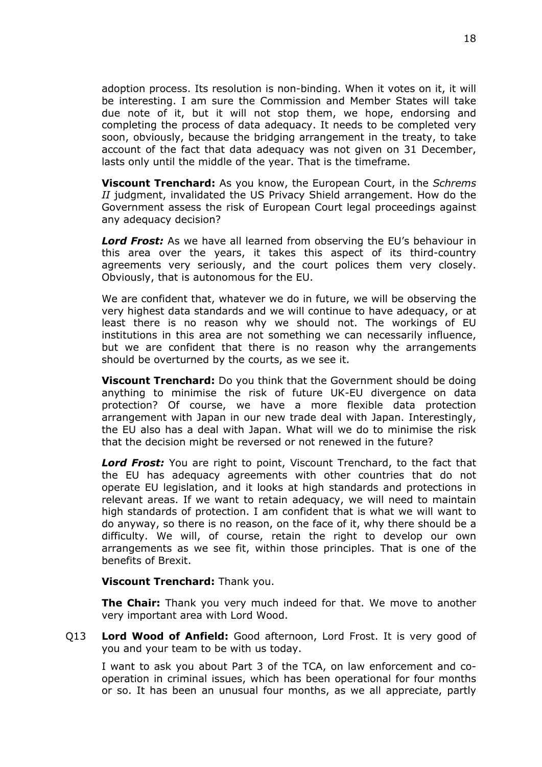adoption process. Its resolution is non-binding. When it votes on it, it will be interesting. I am sure the Commission and Member States will take due note of it, but it will not stop them, we hope, endorsing and completing the process of data adequacy. It needs to be completed very soon, obviously, because the bridging arrangement in the treaty, to take account of the fact that data adequacy was not given on 31 December, lasts only until the middle of the year. That is the timeframe.

**Viscount Trenchard:** As you know, the European Court, in the *Schrems II* judgment, invalidated the US Privacy Shield arrangement. How do the Government assess the risk of European Court legal proceedings against any adequacy decision?

*Lord Frost:* As we have all learned from observing the EU's behaviour in this area over the years, it takes this aspect of its third-country agreements very seriously, and the court polices them very closely. Obviously, that is autonomous for the EU.

We are confident that, whatever we do in future, we will be observing the very highest data standards and we will continue to have adequacy, or at least there is no reason why we should not. The workings of EU institutions in this area are not something we can necessarily influence, but we are confident that there is no reason why the arrangements should be overturned by the courts, as we see it.

**Viscount Trenchard:** Do you think that the Government should be doing anything to minimise the risk of future UK-EU divergence on data protection? Of course, we have a more flexible data protection arrangement with Japan in our new trade deal with Japan. Interestingly, the EU also has a deal with Japan. What will we do to minimise the risk that the decision might be reversed or not renewed in the future?

*Lord Frost:* You are right to point, Viscount Trenchard, to the fact that the EU has adequacy agreements with other countries that do not operate EU legislation, and it looks at high standards and protections in relevant areas. If we want to retain adequacy, we will need to maintain high standards of protection. I am confident that is what we will want to do anyway, so there is no reason, on the face of it, why there should be a difficulty. We will, of course, retain the right to develop our own arrangements as we see fit, within those principles. That is one of the benefits of Brexit.

**Viscount Trenchard:** Thank you.

**The Chair:** Thank you very much indeed for that. We move to another very important area with Lord Wood.

Q13 **Lord Wood of Anfield:** Good afternoon, Lord Frost. It is very good of you and your team to be with us today.

I want to ask you about Part 3 of the TCA, on law enforcement and cooperation in criminal issues, which has been operational for four months or so. It has been an unusual four months, as we all appreciate, partly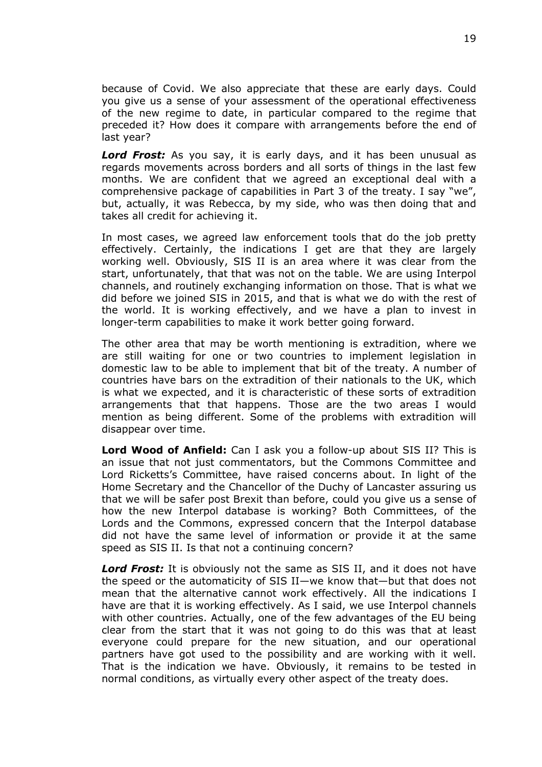because of Covid. We also appreciate that these are early days. Could you give us a sense of your assessment of the operational effectiveness of the new regime to date, in particular compared to the regime that preceded it? How does it compare with arrangements before the end of last year?

*Lord Frost:* As you say, it is early days, and it has been unusual as regards movements across borders and all sorts of things in the last few months. We are confident that we agreed an exceptional deal with a comprehensive package of capabilities in Part 3 of the treaty. I say "we", but, actually, it was Rebecca, by my side, who was then doing that and takes all credit for achieving it.

In most cases, we agreed law enforcement tools that do the job pretty effectively. Certainly, the indications I get are that they are largely working well. Obviously, SIS II is an area where it was clear from the start, unfortunately, that that was not on the table. We are using Interpol channels, and routinely exchanging information on those. That is what we did before we joined SIS in 2015, and that is what we do with the rest of the world. It is working effectively, and we have a plan to invest in longer-term capabilities to make it work better going forward.

The other area that may be worth mentioning is extradition, where we are still waiting for one or two countries to implement legislation in domestic law to be able to implement that bit of the treaty. A number of countries have bars on the extradition of their nationals to the UK, which is what we expected, and it is characteristic of these sorts of extradition arrangements that that happens. Those are the two areas I would mention as being different. Some of the problems with extradition will disappear over time.

**Lord Wood of Anfield:** Can I ask you a follow-up about SIS II? This is an issue that not just commentators, but the Commons Committee and Lord Ricketts's Committee, have raised concerns about. In light of the Home Secretary and the Chancellor of the Duchy of Lancaster assuring us that we will be safer post Brexit than before, could you give us a sense of how the new Interpol database is working? Both Committees, of the Lords and the Commons, expressed concern that the Interpol database did not have the same level of information or provide it at the same speed as SIS II. Is that not a continuing concern?

*Lord Frost:* It is obviously not the same as SIS II, and it does not have the speed or the automaticity of SIS II—we know that—but that does not mean that the alternative cannot work effectively. All the indications I have are that it is working effectively. As I said, we use Interpol channels with other countries. Actually, one of the few advantages of the EU being clear from the start that it was not going to do this was that at least everyone could prepare for the new situation, and our operational partners have got used to the possibility and are working with it well. That is the indication we have. Obviously, it remains to be tested in normal conditions, as virtually every other aspect of the treaty does.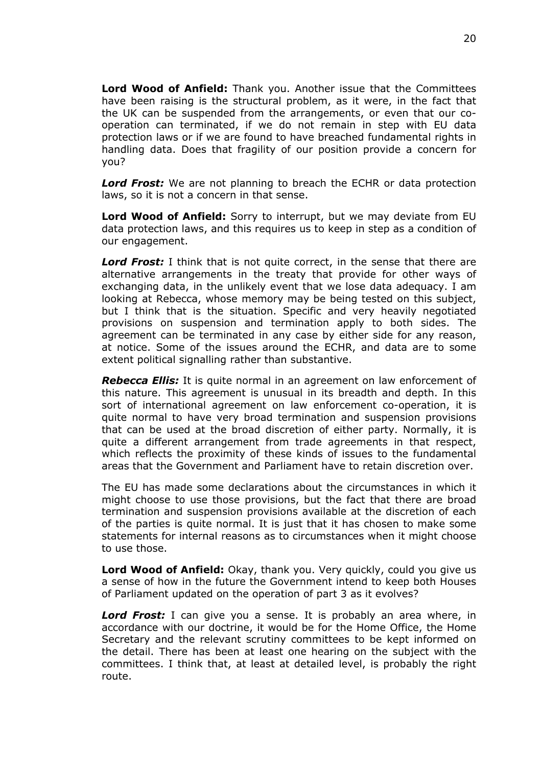**Lord Wood of Anfield:** Thank you. Another issue that the Committees have been raising is the structural problem, as it were, in the fact that the UK can be suspended from the arrangements, or even that our cooperation can terminated, if we do not remain in step with EU data protection laws or if we are found to have breached fundamental rights in handling data. Does that fragility of our position provide a concern for you?

*Lord Frost:* We are not planning to breach the ECHR or data protection laws, so it is not a concern in that sense.

**Lord Wood of Anfield:** Sorry to interrupt, but we may deviate from EU data protection laws, and this requires us to keep in step as a condition of our engagement.

*Lord Frost:* I think that is not quite correct, in the sense that there are alternative arrangements in the treaty that provide for other ways of exchanging data, in the unlikely event that we lose data adequacy. I am looking at Rebecca, whose memory may be being tested on this subject, but I think that is the situation. Specific and very heavily negotiated provisions on suspension and termination apply to both sides. The agreement can be terminated in any case by either side for any reason, at notice. Some of the issues around the ECHR, and data are to some extent political signalling rather than substantive.

*Rebecca Ellis:* It is quite normal in an agreement on law enforcement of this nature. This agreement is unusual in its breadth and depth. In this sort of international agreement on law enforcement co-operation, it is quite normal to have very broad termination and suspension provisions that can be used at the broad discretion of either party. Normally, it is quite a different arrangement from trade agreements in that respect, which reflects the proximity of these kinds of issues to the fundamental areas that the Government and Parliament have to retain discretion over.

The EU has made some declarations about the circumstances in which it might choose to use those provisions, but the fact that there are broad termination and suspension provisions available at the discretion of each of the parties is quite normal. It is just that it has chosen to make some statements for internal reasons as to circumstances when it might choose to use those.

**Lord Wood of Anfield:** Okay, thank you. Very quickly, could you give us a sense of how in the future the Government intend to keep both Houses of Parliament updated on the operation of part 3 as it evolves?

*Lord Frost:* I can give you a sense. It is probably an area where, in accordance with our doctrine, it would be for the Home Office, the Home Secretary and the relevant scrutiny committees to be kept informed on the detail. There has been at least one hearing on the subject with the committees. I think that, at least at detailed level, is probably the right route.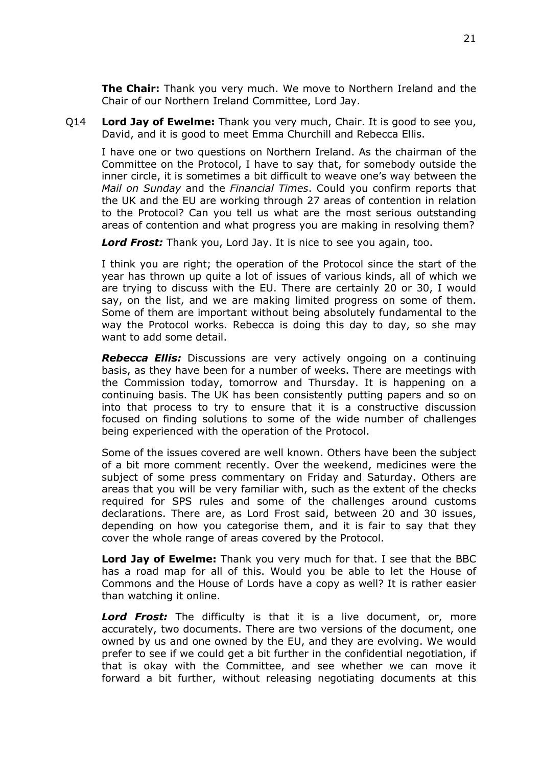**The Chair:** Thank you very much. We move to Northern Ireland and the Chair of our Northern Ireland Committee, Lord Jay.

Q14 **Lord Jay of Ewelme:** Thank you very much, Chair. It is good to see you, David, and it is good to meet Emma Churchill and Rebecca Ellis.

I have one or two questions on Northern Ireland. As the chairman of the Committee on the Protocol, I have to say that, for somebody outside the inner circle, it is sometimes a bit difficult to weave one's way between the *Mail on Sunday* and the *Financial Times*. Could you confirm reports that the UK and the EU are working through 27 areas of contention in relation to the Protocol? Can you tell us what are the most serious outstanding areas of contention and what progress you are making in resolving them?

*Lord Frost:* Thank you, Lord Jay. It is nice to see you again, too.

I think you are right; the operation of the Protocol since the start of the year has thrown up quite a lot of issues of various kinds, all of which we are trying to discuss with the EU. There are certainly 20 or 30, I would say, on the list, and we are making limited progress on some of them. Some of them are important without being absolutely fundamental to the way the Protocol works. Rebecca is doing this day to day, so she may want to add some detail.

*Rebecca Ellis:* Discussions are very actively ongoing on a continuing basis, as they have been for a number of weeks. There are meetings with the Commission today, tomorrow and Thursday. It is happening on a continuing basis. The UK has been consistently putting papers and so on into that process to try to ensure that it is a constructive discussion focused on finding solutions to some of the wide number of challenges being experienced with the operation of the Protocol.

Some of the issues covered are well known. Others have been the subject of a bit more comment recently. Over the weekend, medicines were the subject of some press commentary on Friday and Saturday. Others are areas that you will be very familiar with, such as the extent of the checks required for SPS rules and some of the challenges around customs declarations. There are, as Lord Frost said, between 20 and 30 issues, depending on how you categorise them, and it is fair to say that they cover the whole range of areas covered by the Protocol.

**Lord Jay of Ewelme:** Thank you very much for that. I see that the BBC has a road map for all of this. Would you be able to let the House of Commons and the House of Lords have a copy as well? It is rather easier than watching it online.

*Lord Frost:* The difficulty is that it is a live document, or, more accurately, two documents. There are two versions of the document, one owned by us and one owned by the EU, and they are evolving. We would prefer to see if we could get a bit further in the confidential negotiation, if that is okay with the Committee, and see whether we can move it forward a bit further, without releasing negotiating documents at this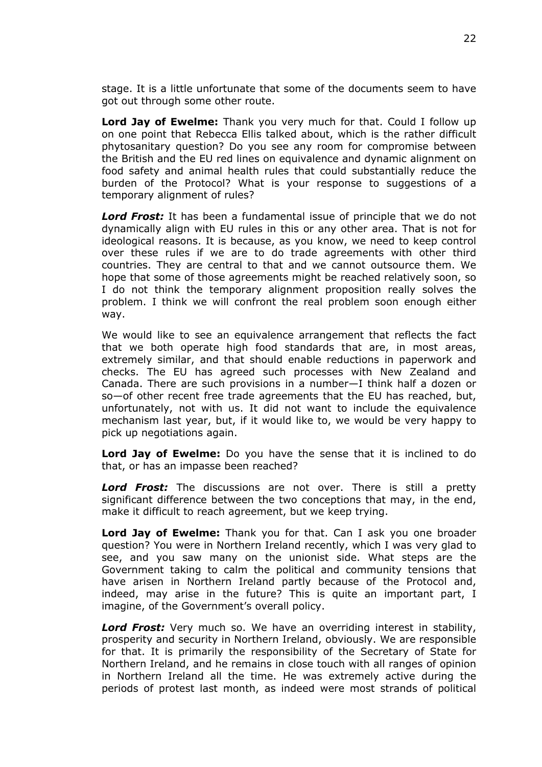stage. It is a little unfortunate that some of the documents seem to have got out through some other route.

**Lord Jay of Ewelme:** Thank you very much for that. Could I follow up on one point that Rebecca Ellis talked about, which is the rather difficult phytosanitary question? Do you see any room for compromise between the British and the EU red lines on equivalence and dynamic alignment on food safety and animal health rules that could substantially reduce the burden of the Protocol? What is your response to suggestions of a temporary alignment of rules?

*Lord Frost:* It has been a fundamental issue of principle that we do not dynamically align with EU rules in this or any other area. That is not for ideological reasons. It is because, as you know, we need to keep control over these rules if we are to do trade agreements with other third countries. They are central to that and we cannot outsource them. We hope that some of those agreements might be reached relatively soon, so I do not think the temporary alignment proposition really solves the problem. I think we will confront the real problem soon enough either way.

We would like to see an equivalence arrangement that reflects the fact that we both operate high food standards that are, in most areas, extremely similar, and that should enable reductions in paperwork and checks. The EU has agreed such processes with New Zealand and Canada. There are such provisions in a number—I think half a dozen or so—of other recent free trade agreements that the EU has reached, but, unfortunately, not with us. It did not want to include the equivalence mechanism last year, but, if it would like to, we would be very happy to pick up negotiations again.

**Lord Jay of Ewelme:** Do you have the sense that it is inclined to do that, or has an impasse been reached?

*Lord Frost:* The discussions are not over. There is still a pretty significant difference between the two conceptions that may, in the end, make it difficult to reach agreement, but we keep trying.

**Lord Jay of Ewelme:** Thank you for that. Can I ask you one broader question? You were in Northern Ireland recently, which I was very glad to see, and you saw many on the unionist side. What steps are the Government taking to calm the political and community tensions that have arisen in Northern Ireland partly because of the Protocol and, indeed, may arise in the future? This is quite an important part, I imagine, of the Government's overall policy.

*Lord Frost:* Very much so. We have an overriding interest in stability, prosperity and security in Northern Ireland, obviously. We are responsible for that. It is primarily the responsibility of the Secretary of State for Northern Ireland, and he remains in close touch with all ranges of opinion in Northern Ireland all the time. He was extremely active during the periods of protest last month, as indeed were most strands of political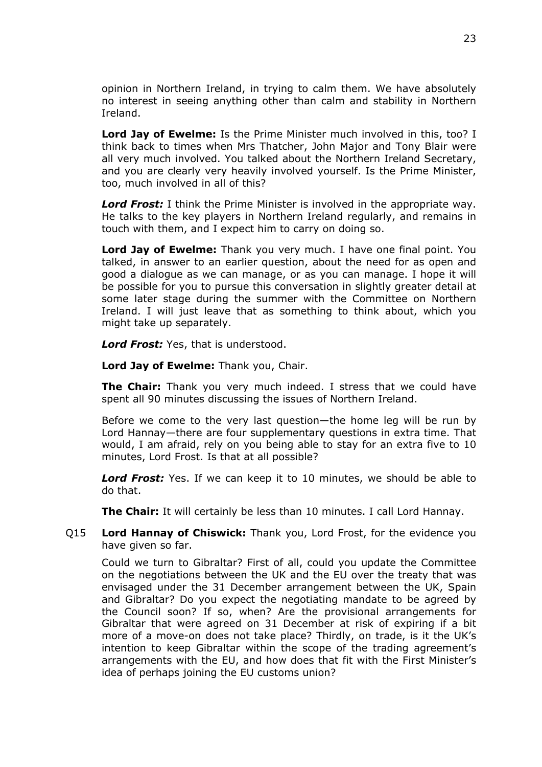opinion in Northern Ireland, in trying to calm them. We have absolutely no interest in seeing anything other than calm and stability in Northern Ireland.

**Lord Jay of Ewelme:** Is the Prime Minister much involved in this, too? I think back to times when Mrs Thatcher, John Major and Tony Blair were all very much involved. You talked about the Northern Ireland Secretary, and you are clearly very heavily involved yourself. Is the Prime Minister, too, much involved in all of this?

*Lord Frost:* I think the Prime Minister is involved in the appropriate way. He talks to the key players in Northern Ireland regularly, and remains in touch with them, and I expect him to carry on doing so.

**Lord Jay of Ewelme:** Thank you very much. I have one final point. You talked, in answer to an earlier question, about the need for as open and good a dialogue as we can manage, or as you can manage. I hope it will be possible for you to pursue this conversation in slightly greater detail at some later stage during the summer with the Committee on Northern Ireland. I will just leave that as something to think about, which you might take up separately.

*Lord Frost:* Yes, that is understood.

**Lord Jay of Ewelme:** Thank you, Chair.

**The Chair:** Thank you very much indeed. I stress that we could have spent all 90 minutes discussing the issues of Northern Ireland.

Before we come to the very last question—the home leg will be run by Lord Hannay—there are four supplementary questions in extra time. That would, I am afraid, rely on you being able to stay for an extra five to 10 minutes, Lord Frost. Is that at all possible?

*Lord Frost:* Yes. If we can keep it to 10 minutes, we should be able to do that.

**The Chair:** It will certainly be less than 10 minutes. I call Lord Hannay.

Q15 **Lord Hannay of Chiswick:** Thank you, Lord Frost, for the evidence you have given so far.

Could we turn to Gibraltar? First of all, could you update the Committee on the negotiations between the UK and the EU over the treaty that was envisaged under the 31 December arrangement between the UK, Spain and Gibraltar? Do you expect the negotiating mandate to be agreed by the Council soon? If so, when? Are the provisional arrangements for Gibraltar that were agreed on 31 December at risk of expiring if a bit more of a move-on does not take place? Thirdly, on trade, is it the UK's intention to keep Gibraltar within the scope of the trading agreement's arrangements with the EU, and how does that fit with the First Minister's idea of perhaps joining the EU customs union?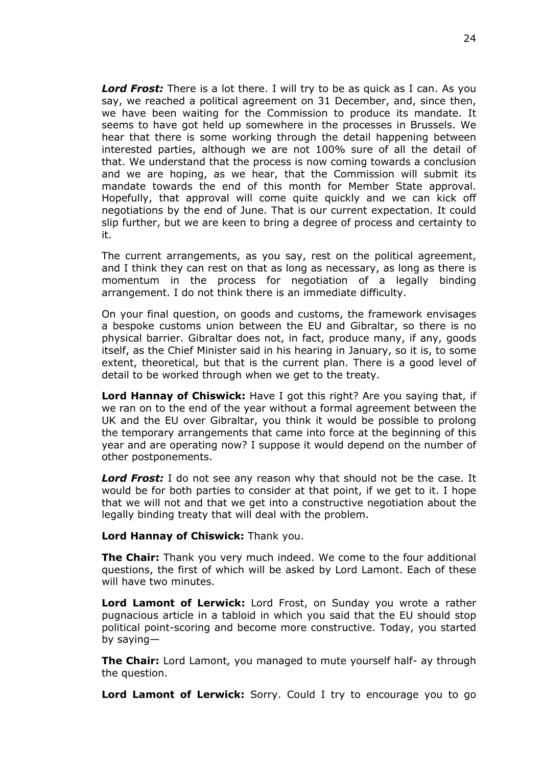*Lord Frost:* There is a lot there. I will try to be as quick as I can. As you say, we reached a political agreement on 31 December, and, since then, we have been waiting for the Commission to produce its mandate. It seems to have got held up somewhere in the processes in Brussels. We hear that there is some working through the detail happening between interested parties, although we are not 100% sure of all the detail of that. We understand that the process is now coming towards a conclusion and we are hoping, as we hear, that the Commission will submit its mandate towards the end of this month for Member State approval. Hopefully, that approval will come quite quickly and we can kick off negotiations by the end of June. That is our current expectation. It could slip further, but we are keen to bring a degree of process and certainty to it.

The current arrangements, as you say, rest on the political agreement, and I think they can rest on that as long as necessary, as long as there is momentum in the process for negotiation of a legally binding arrangement. I do not think there is an immediate difficulty.

On your final question, on goods and customs, the framework envisages a bespoke customs union between the EU and Gibraltar, so there is no physical barrier. Gibraltar does not, in fact, produce many, if any, goods itself, as the Chief Minister said in his hearing in January, so it is, to some extent, theoretical, but that is the current plan. There is a good level of detail to be worked through when we get to the treaty.

**Lord Hannay of Chiswick:** Have I got this right? Are you saying that, if we ran on to the end of the year without a formal agreement between the UK and the EU over Gibraltar, you think it would be possible to prolong the temporary arrangements that came into force at the beginning of this year and are operating now? I suppose it would depend on the number of other postponements.

**Lord Frost:** I do not see any reason why that should not be the case. It would be for both parties to consider at that point, if we get to it. I hope that we will not and that we get into a constructive negotiation about the legally binding treaty that will deal with the problem.

#### **Lord Hannay of Chiswick:** Thank you.

**The Chair:** Thank you very much indeed. We come to the four additional questions, the first of which will be asked by Lord Lamont. Each of these will have two minutes.

**Lord Lamont of Lerwick:** Lord Frost, on Sunday you wrote a rather pugnacious article in a tabloid in which you said that the EU should stop political point-scoring and become more constructive. Today, you started by saying—

**The Chair:** Lord Lamont, you managed to mute yourself half- ay through the question.

**Lord Lamont of Lerwick:** Sorry. Could I try to encourage you to go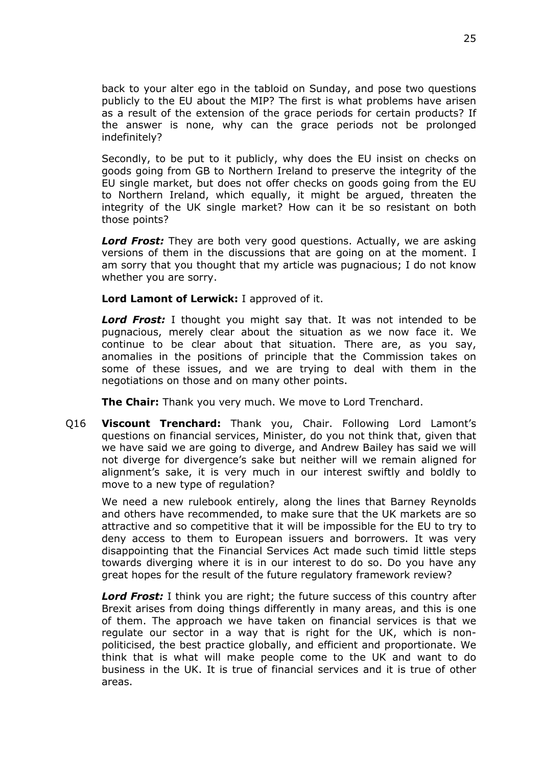back to your alter ego in the tabloid on Sunday, and pose two questions publicly to the EU about the MIP? The first is what problems have arisen as a result of the extension of the grace periods for certain products? If the answer is none, why can the grace periods not be prolonged indefinitely?

Secondly, to be put to it publicly, why does the EU insist on checks on goods going from GB to Northern Ireland to preserve the integrity of the EU single market, but does not offer checks on goods going from the EU to Northern Ireland, which equally, it might be argued, threaten the integrity of the UK single market? How can it be so resistant on both those points?

*Lord Frost:* They are both very good questions. Actually, we are asking versions of them in the discussions that are going on at the moment. I am sorry that you thought that my article was pugnacious; I do not know whether you are sorry.

**Lord Lamont of Lerwick:** I approved of it.

*Lord Frost:* I thought you might say that. It was not intended to be pugnacious, merely clear about the situation as we now face it. We continue to be clear about that situation. There are, as you say, anomalies in the positions of principle that the Commission takes on some of these issues, and we are trying to deal with them in the negotiations on those and on many other points.

**The Chair:** Thank you very much. We move to Lord Trenchard.

Q16 **Viscount Trenchard:** Thank you, Chair. Following Lord Lamont's questions on financial services, Minister, do you not think that, given that we have said we are going to diverge, and Andrew Bailey has said we will not diverge for divergence's sake but neither will we remain aligned for alignment's sake, it is very much in our interest swiftly and boldly to move to a new type of regulation?

We need a new rulebook entirely, along the lines that Barney Reynolds and others have recommended, to make sure that the UK markets are so attractive and so competitive that it will be impossible for the EU to try to deny access to them to European issuers and borrowers. It was very disappointing that the Financial Services Act made such timid little steps towards diverging where it is in our interest to do so. Do you have any great hopes for the result of the future regulatory framework review?

*Lord Frost:* I think you are right; the future success of this country after Brexit arises from doing things differently in many areas, and this is one of them. The approach we have taken on financial services is that we regulate our sector in a way that is right for the UK, which is nonpoliticised, the best practice globally, and efficient and proportionate. We think that is what will make people come to the UK and want to do business in the UK. It is true of financial services and it is true of other areas.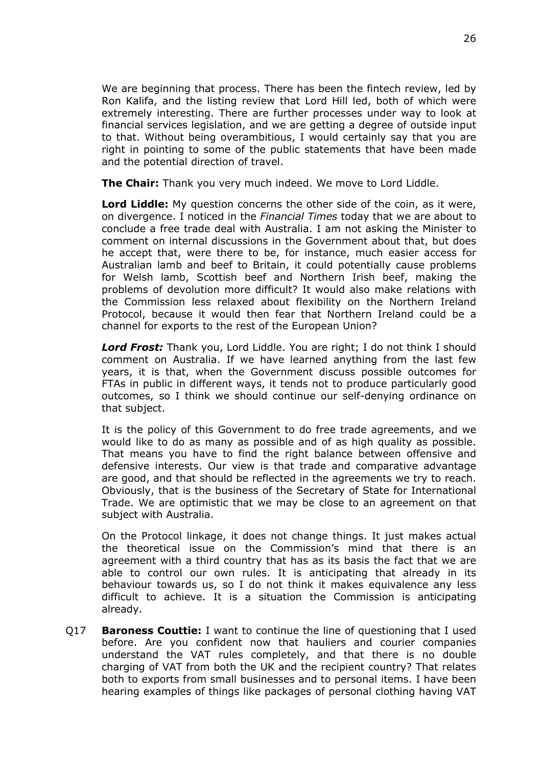We are beginning that process. There has been the fintech review, led by Ron Kalifa, and the listing review that Lord Hill led, both of which were extremely interesting. There are further processes under way to look at financial services legislation, and we are getting a degree of outside input to that. Without being overambitious, I would certainly say that you are right in pointing to some of the public statements that have been made and the potential direction of travel.

**The Chair:** Thank you very much indeed. We move to Lord Liddle.

**Lord Liddle:** My question concerns the other side of the coin, as it were, on divergence. I noticed in the *Financial Times* today that we are about to conclude a free trade deal with Australia. I am not asking the Minister to comment on internal discussions in the Government about that, but does he accept that, were there to be, for instance, much easier access for Australian lamb and beef to Britain, it could potentially cause problems for Welsh lamb, Scottish beef and Northern Irish beef, making the problems of devolution more difficult? It would also make relations with the Commission less relaxed about flexibility on the Northern Ireland Protocol, because it would then fear that Northern Ireland could be a channel for exports to the rest of the European Union?

*Lord Frost:* Thank you, Lord Liddle. You are right; I do not think I should comment on Australia. If we have learned anything from the last few years, it is that, when the Government discuss possible outcomes for FTAs in public in different ways, it tends not to produce particularly good outcomes, so I think we should continue our self-denying ordinance on that subject.

It is the policy of this Government to do free trade agreements, and we would like to do as many as possible and of as high quality as possible. That means you have to find the right balance between offensive and defensive interests. Our view is that trade and comparative advantage are good, and that should be reflected in the agreements we try to reach. Obviously, that is the business of the Secretary of State for International Trade. We are optimistic that we may be close to an agreement on that subject with Australia.

On the Protocol linkage, it does not change things. It just makes actual the theoretical issue on the Commission's mind that there is an agreement with a third country that has as its basis the fact that we are able to control our own rules. It is anticipating that already in its behaviour towards us, so I do not think it makes equivalence any less difficult to achieve. It is a situation the Commission is anticipating already.

Q17 **Baroness Couttie:** I want to continue the line of questioning that I used before. Are you confident now that hauliers and courier companies understand the VAT rules completely, and that there is no double charging of VAT from both the UK and the recipient country? That relates both to exports from small businesses and to personal items. I have been hearing examples of things like packages of personal clothing having VAT